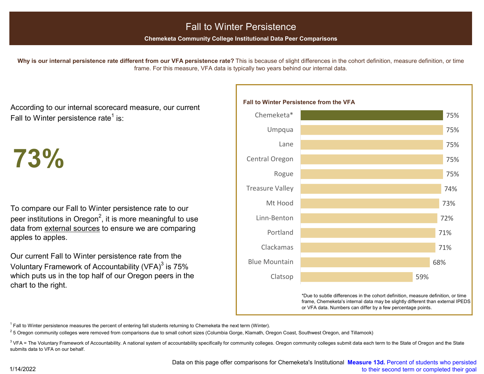# Fall to Winter Persistence

**Chemeketa Community College Institutional Data Peer Comparisons**

Why is our internal persistence rate different from our VFA persistence rate? This is because of slight differences in the cohort definition, measure definition, or time frame. For this measure, VFA data is typically two years behind our internal data.

According to our internal scorecard measure, our current Fall to Winter persistence rate<sup>1</sup> is:

**73%**

To compare our Fall to Winter persistence rate to our peer institutions in Oregon<sup>2</sup>, it is more meaningful to use data from external sources to ensure we are comparing apples to apples.

Our current Fall to Winter persistence rate from the Voluntary Framework of Accountability (VFA) $3$  is 75% which puts us in the top half of our Oregon peers in the chart to the right.



\*Due to subtle differences in the cohort definition, measure definition, or time frame, Chemeketa's internal data may be slightly different than external IPEDS or VFA data. Numbers can differ by a few percentage points.

 $1$  Fall to Winter persistence measures the percent of entering fall students returning to Chemeketa the next term (Winter).

<sup>2</sup> 5 Oregon community colleges were removed from comparisons due to small cohort sizes (Columbia Gorge, Klamath, Oregon Coast, Southwest Oregon, and Tillamook)

<sup>3</sup> VFA = The Voluntary Framework of Accountability. A national system of accountability specifically for community colleges. Oregon community colleges submit data each term to the State of Oregon and the State submits data to VFA on our behalf.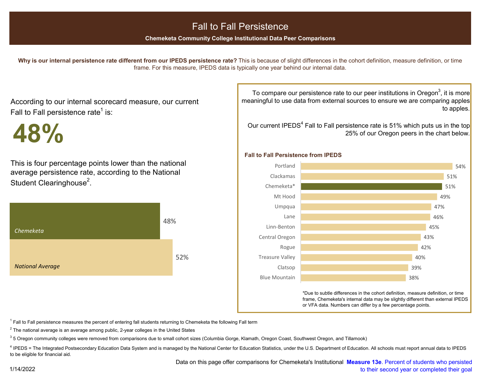## Fall to Fall Persistence

**Chemeketa Community College Institutional Data Peer Comparisons**

**Why is our internal persistence rate different from our IPEDS persistence rate?** This is because of slight differences in the cohort definition, measure definition, or time frame. For this measure, IPEDS data is typically one year behind our internal data.

According to our internal scorecard measure, our current Fall to Fall persistence rate<sup>1</sup> is:

**48%**

This is four percentage points lower than the national average persistence rate, according to the National Student Clearinghouse<sup>2</sup>.



To compare our persistence rate to our peer institutions in Oregon<sup>3</sup>, it is more meaningful to use data from external sources to ensure we are comparing apples to apples.

Our current IPEDS<sup>4</sup> Fall to Fall persistence rate is 51% which puts us in the top 25% of our Oregon peers in the chart below.

#### **Fall to Fall Persistence from IPEDS**



\*Due to subtle differences in the cohort definition, measure definition, or time frame, Chemeketa's internal data may be slightly different than external IPEDS or VFA data. Numbers can differ by a few percentage points.

 $1$  Fall to Fall persistence measures the percent of entering fall students returning to Chemeketa the following Fall term

 $2$  The national average is an average among public, 2-year colleges in the United States

<sup>3</sup> 5 Oregon community colleges were removed from comparisons due to small cohort sizes (Columbia Gorge, Klamath, Oregon Coast, Southwest Oregon, and Tillamook)

4 IPEDS = The Integrated Postsecondary Education Data System and is managed by the National Center for Education Statistics, under the U.S. Department of Education. All schools must report annual data to IPEDS to be eligible for financial aid.

1/14/2022

 Data on this page offer comparisons for Chemeketa's Institutional **Measure 13e**. Percent of students who persisted [to their second year or completed their goal](https://chemeketa0.sharepoint.com/:b:/s/research/EeCpa8BL1StHjnorOuQ_Bd0BOpS9Z3afSdoC-YY3m90WLA?e=UXcT79)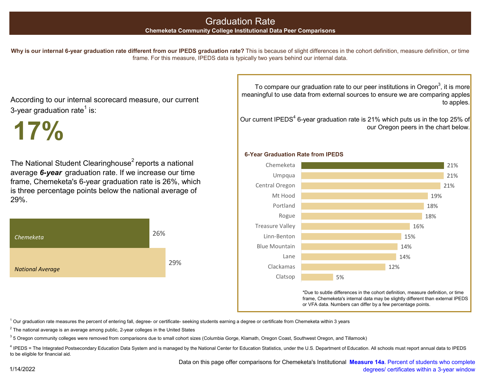# Graduation Rate

#### **Chemeketa Community College Institutional Data Peer Comparisons**

Why is our internal 6-year graduation rate different from our IPEDS graduation rate? This is because of slight differences in the cohort definition, measure definition, or time frame. For this measure, IPEDS data is typically two years behind our internal data.

According to our internal scorecard measure, our current 3-year graduation rate $<sup>1</sup>$  is:</sup>

The National Student Clearinghouse<sup>2</sup> reports a national average *6-year* graduation rate. If we increase our time frame, Chemeketa's 6-year graduation rate is 26%, which is three percentage points below the national average of 29%.



To compare our graduation rate to our peer institutions in Oregon<sup>3</sup>, it is more meaningful to use data from external sources to ensure we are comparing apples to apples.

Our current IPEDS<sup>4</sup> 6-year graduation rate is 21% which puts us in the top 25% of **17%** our Oregon peers in the chart below.

#### **6-Year Graduation Rate from IPEDS**



\*Due to subtle differences in the cohort definition, measure definition, or time frame, Chemeketa's internal data may be slightly different than external IPEDS or VFA data. Numbers can differ by a few percentage points.

 $1$  Our graduation rate measures the percent of entering fall, degree- or certificate- seeking students earning a degree or certificate from Chemeketa within 3 years

 $2$  The national average is an average among public, 2-year colleges in the United States

<sup>3</sup> 5 Oregon community colleges were removed from comparisons due to small cohort sizes (Columbia Gorge, Klamath, Oregon Coast, Southwest Oregon, and Tillamook)

4 IPEDS = The Integrated Postsecondary Education Data System and is managed by the National Center for Education Statistics, under the U.S. Department of Education. All schools must report annual data to IPEDS to be eligible for financial aid.

> Data on this page offer comparisons for Chemeketa's Institutional **Measure 14a**[. Percent of students who complete](https://chemeketa0.sharepoint.com/:b:/s/research/EeCpa8BL1StHjnorOuQ_Bd0BOpS9Z3afSdoC-YY3m90WLA?e=UXcT79)  degrees/ certificates within a 3-year window